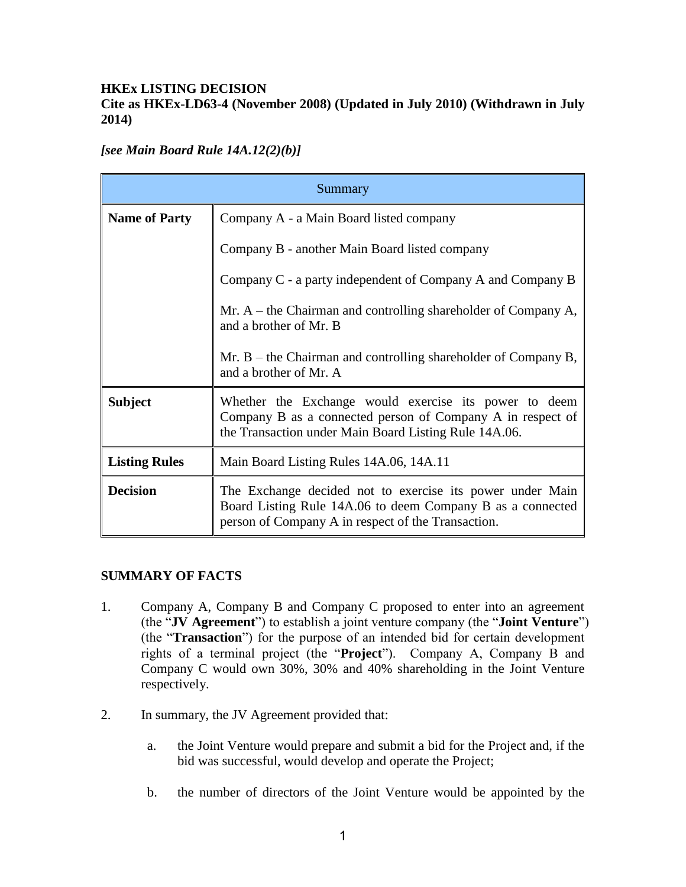### **HKEx LISTING DECISION**

**Cite as HKEx-LD63-4 (November 2008) (Updated in July 2010) (Withdrawn in July 2014)**

*[see Main Board Rule 14A.12(2)(b)]*

| Summary              |                                                                                                                                                                               |
|----------------------|-------------------------------------------------------------------------------------------------------------------------------------------------------------------------------|
| <b>Name of Party</b> | Company A - a Main Board listed company                                                                                                                                       |
|                      | Company B - another Main Board listed company                                                                                                                                 |
|                      | Company C - a party independent of Company A and Company B                                                                                                                    |
|                      | Mr. $A$ – the Chairman and controlling shareholder of Company A,<br>and a brother of Mr. B                                                                                    |
|                      | Mr. $B$ – the Chairman and controlling shareholder of Company B,<br>and a brother of Mr. A                                                                                    |
| <b>Subject</b>       | Whether the Exchange would exercise its power to deem<br>Company B as a connected person of Company A in respect of<br>the Transaction under Main Board Listing Rule 14A.06.  |
| <b>Listing Rules</b> | Main Board Listing Rules 14A.06, 14A.11                                                                                                                                       |
| <b>Decision</b>      | The Exchange decided not to exercise its power under Main<br>Board Listing Rule 14A.06 to deem Company B as a connected<br>person of Company A in respect of the Transaction. |

#### **SUMMARY OF FACTS**

- 1. Company A, Company B and Company C proposed to enter into an agreement (the "**JV Agreement**") to establish a joint venture company (the "**Joint Venture**") (the "**Transaction**") for the purpose of an intended bid for certain development rights of a terminal project (the "**Project**"). Company A, Company B and Company C would own 30%, 30% and 40% shareholding in the Joint Venture respectively.
- 2. In summary, the JV Agreement provided that:
	- a. the Joint Venture would prepare and submit a bid for the Project and, if the bid was successful, would develop and operate the Project;
	- b. the number of directors of the Joint Venture would be appointed by the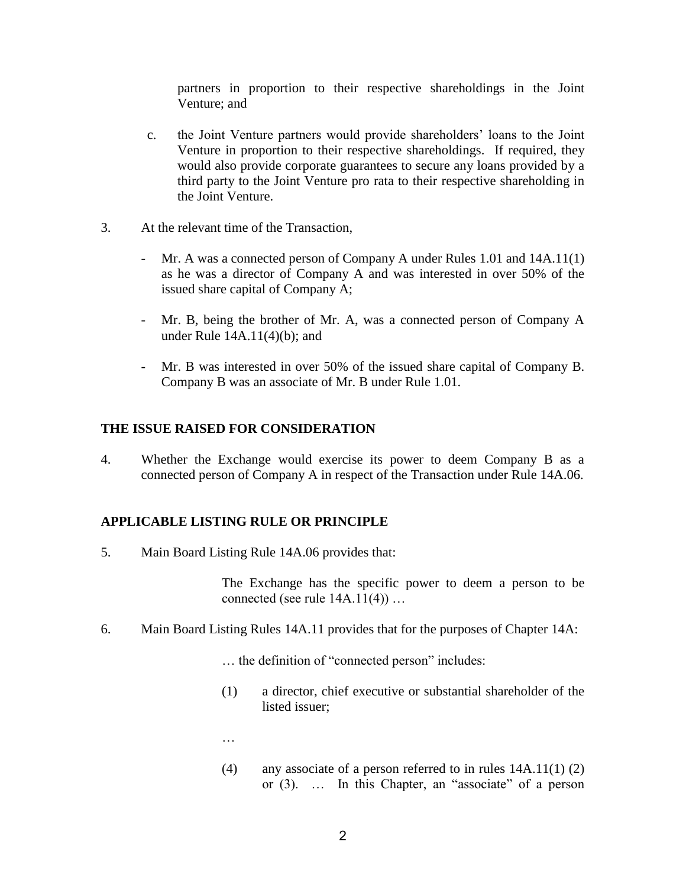partners in proportion to their respective shareholdings in the Joint Venture; and

- c. the Joint Venture partners would provide shareholders' loans to the Joint Venture in proportion to their respective shareholdings. If required, they would also provide corporate guarantees to secure any loans provided by a third party to the Joint Venture pro rata to their respective shareholding in the Joint Venture.
- 3. At the relevant time of the Transaction,
	- Mr. A was a connected person of Company A under Rules 1.01 and 14A.11(1) as he was a director of Company A and was interested in over 50% of the issued share capital of Company A;
	- Mr. B, being the brother of Mr. A, was a connected person of Company A under Rule 14A.11(4)(b); and
	- Mr. B was interested in over 50% of the issued share capital of Company B. Company B was an associate of Mr. B under Rule 1.01.

### **THE ISSUE RAISED FOR CONSIDERATION**

4. Whether the Exchange would exercise its power to deem Company B as a connected person of Company A in respect of the Transaction under Rule 14A.06.

### **APPLICABLE LISTING RULE OR PRINCIPLE**

5. Main Board Listing Rule 14A.06 provides that:

The Exchange has the specific power to deem a person to be connected (see rule  $14A.11(4)$ ) ...

6. Main Board Listing Rules 14A.11 provides that for the purposes of Chapter 14A:

… the definition of "connected person" includes:

- (1) a director, chief executive or substantial shareholder of the listed issuer;
- …
- (4) any associate of a person referred to in rules 14A.11(1) (2) or (3). … In this Chapter, an "associate" of a person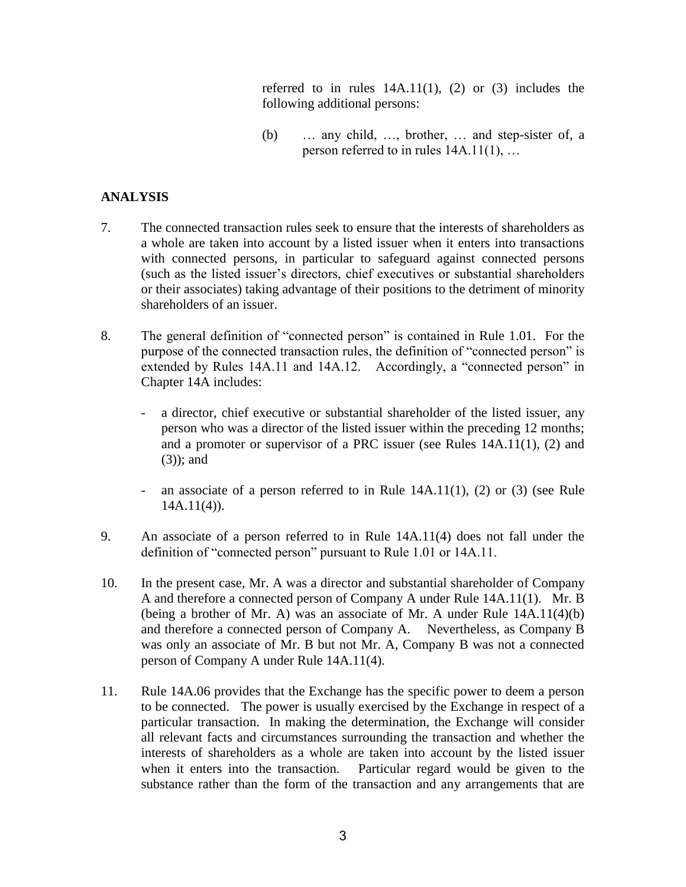referred to in rules  $14A.11(1)$ ,  $(2)$  or  $(3)$  includes the following additional persons:

(b) … any child, …, brother, … and step-sister of, a person referred to in rules 14A.11(1), …

## **ANALYSIS**

- 7. The connected transaction rules seek to ensure that the interests of shareholders as a whole are taken into account by a listed issuer when it enters into transactions with connected persons, in particular to safeguard against connected persons (such as the listed issuer's directors, chief executives or substantial shareholders or their associates) taking advantage of their positions to the detriment of minority shareholders of an issuer.
- 8. The general definition of "connected person" is contained in Rule 1.01. For the purpose of the connected transaction rules, the definition of "connected person" is extended by Rules 14A.11 and 14A.12. Accordingly, a "connected person" in Chapter 14A includes:
	- a director, chief executive or substantial shareholder of the listed issuer, any person who was a director of the listed issuer within the preceding 12 months; and a promoter or supervisor of a PRC issuer (see Rules 14A.11(1), (2) and (3)); and
	- an associate of a person referred to in Rule 14A.11(1), (2) or (3) (see Rule  $14A.11(4)$ .
- 9. An associate of a person referred to in Rule 14A.11(4) does not fall under the definition of "connected person" pursuant to Rule 1.01 or 14A.11.
- 10. In the present case, Mr. A was a director and substantial shareholder of Company A and therefore a connected person of Company A under Rule 14A.11(1). Mr. B (being a brother of Mr. A) was an associate of Mr. A under Rule 14A.11(4)(b) and therefore a connected person of Company A. Nevertheless, as Company B was only an associate of Mr. B but not Mr. A, Company B was not a connected person of Company A under Rule 14A.11(4).
- 11. Rule 14A.06 provides that the Exchange has the specific power to deem a person to be connected. The power is usually exercised by the Exchange in respect of a particular transaction. In making the determination, the Exchange will consider all relevant facts and circumstances surrounding the transaction and whether the interests of shareholders as a whole are taken into account by the listed issuer when it enters into the transaction. Particular regard would be given to the substance rather than the form of the transaction and any arrangements that are